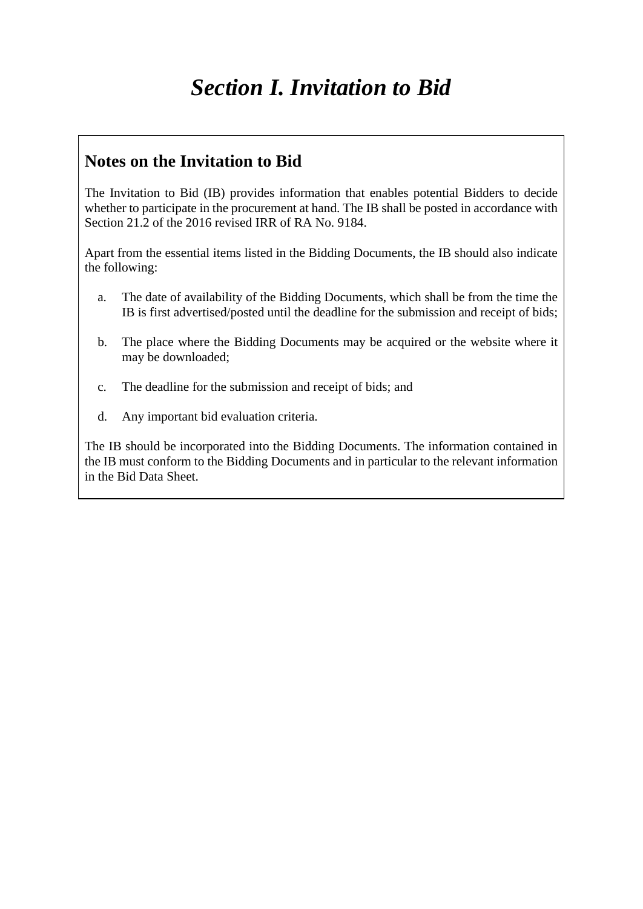## *Section I. Invitation to Bid*

## **Notes on the Invitation to Bid**

The Invitation to Bid (IB) provides information that enables potential Bidders to decide whether to participate in the procurement at hand. The IB shall be posted in accordance with Section 21.2 of the 2016 revised IRR of RA No. 9184.

Apart from the essential items listed in the Bidding Documents, the IB should also indicate the following:

- a. The date of availability of the Bidding Documents, which shall be from the time the IB is first advertised/posted until the deadline for the submission and receipt of bids;
- b. The place where the Bidding Documents may be acquired or the website where it may be downloaded;
- c. The deadline for the submission and receipt of bids; and
- d. Any important bid evaluation criteria.

The IB should be incorporated into the Bidding Documents. The information contained in the IB must conform to the Bidding Documents and in particular to the relevant information in the Bid Data Sheet.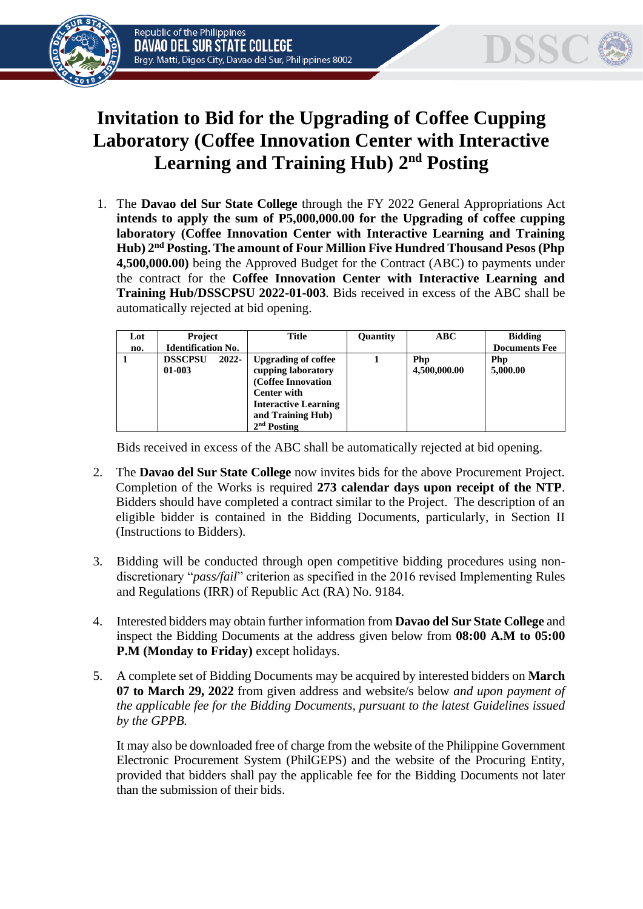



## **Invitation to Bid for the Upgrading of Coffee Cupping Laboratory (Coffee Innovation Center with Interactive**  Learning and Training Hub) 2<sup>nd</sup> Posting

1. The **Davao del Sur State College** through the FY 2022 General Appropriations Act **intends to apply the sum of P5,000,000.00 for the Upgrading of coffee cupping laboratory (Coffee Innovation Center with Interactive Learning and Training Hub) 2 nd Posting. The amount of Four Million Five Hundred Thousand Pesos (Php 4,500,000.00)** being the Approved Budget for the Contract (ABC) to payments under the contract for the **Coffee Innovation Center with Interactive Learning and Training Hub/DSSCPSU 2022-01-003***.* Bids received in excess of the ABC shall be automatically rejected at bid opening.

| Lot | <b>Project</b>                    | Title                                                                                                                                                             | Quantity | ABC -               | <b>Bidding</b>       |
|-----|-----------------------------------|-------------------------------------------------------------------------------------------------------------------------------------------------------------------|----------|---------------------|----------------------|
| no. | <b>Identification No.</b>         |                                                                                                                                                                   |          |                     | <b>Documents Fee</b> |
|     | <b>DSSCPSU</b><br>2022-<br>01-003 | <b>Upgrading of coffee</b><br>cupping laboratory<br>(Coffee Innovation<br><b>Center with</b><br><b>Interactive Learning</b><br>and Training Hub)<br>$2nd$ Posting |          | Php<br>4,500,000.00 | Php<br>5,000.00      |

Bids received in excess of the ABC shall be automatically rejected at bid opening.

- 2. The **Davao del Sur State College** now invites bids for the above Procurement Project. Completion of the Works is required **273 calendar days upon receipt of the NTP**. Bidders should have completed a contract similar to the Project. The description of an eligible bidder is contained in the Bidding Documents, particularly, in Section II (Instructions to Bidders).
- 3. Bidding will be conducted through open competitive bidding procedures using nondiscretionary "*pass/fail*" criterion as specified in the 2016 revised Implementing Rules and Regulations (IRR) of Republic Act (RA) No. 9184.
- 4. Interested bidders may obtain further information from **Davao del Sur State College** and inspect the Bidding Documents at the address given below from **08:00 A.M to 05:00 P.M (Monday to Friday)** except holidays.
- 5. A complete set of Bidding Documents may be acquired by interested bidders on **March 07 to March 29, 2022** from given address and website/s below *and upon payment of the applicable fee for the Bidding Documents, pursuant to the latest Guidelines issued by the GPPB.*

It may also be downloaded free of charge from the website of the Philippine Government Electronic Procurement System (PhilGEPS) and the website of the Procuring Entity*,* provided that bidders shall pay the applicable fee for the Bidding Documents not later than the submission of their bids.